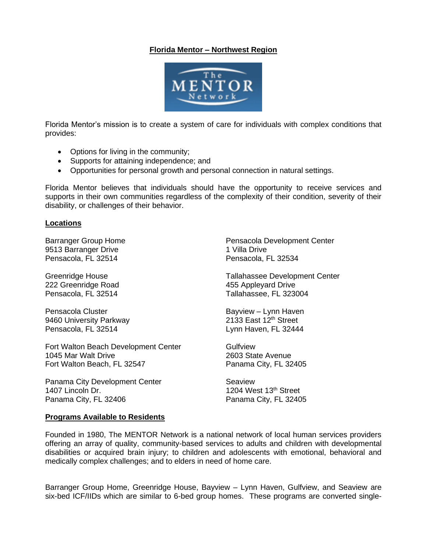## **Florida Mentor – Northwest Region**



Florida Mentor's mission is to create a system of care for individuals with complex conditions that provides:

- Options for living in the community;
- Supports for attaining independence; and
- Opportunities for personal growth and personal connection in natural settings.

Florida Mentor believes that individuals should have the opportunity to receive services and supports in their own communities regardless of the complexity of their condition, severity of their disability, or challenges of their behavior.

## **Locations**

Barranger Group Home 9513 Barranger Drive Pensacola, FL 32514

Greenridge House 222 Greenridge Road Pensacola, FL 32514

Pensacola Cluster 9460 University Parkway Pensacola, FL 32514

Fort Walton Beach Development Center 1045 Mar Walt Drive Fort Walton Beach, FL 32547

Panama City Development Center 1407 Lincoln Dr. Panama City, FL 32406

Pensacola Development Center 1 Villa Drive Pensacola, FL 32534

Tallahassee Development Center 455 Appleyard Drive Tallahassee, FL 323004

Bayview – Lynn Haven 2133 East 12<sup>th</sup> Street Lynn Haven, FL 32444

Gulfview 2603 State Avenue Panama City, FL 32405

Seaview 1204 West 13th Street Panama City, FL 32405

## **Programs Available to Residents**

Founded in 1980, The MENTOR Network is a national network of local human services providers offering an array of quality, community-based services to adults and children with developmental disabilities or acquired brain injury; to children and adolescents with emotional, behavioral and medically complex challenges; and to elders in need of home care.

Barranger Group Home, Greenridge House, Bayview – Lynn Haven, Gulfview, and Seaview are six-bed ICF/IIDs which are similar to 6-bed group homes. These programs are converted single